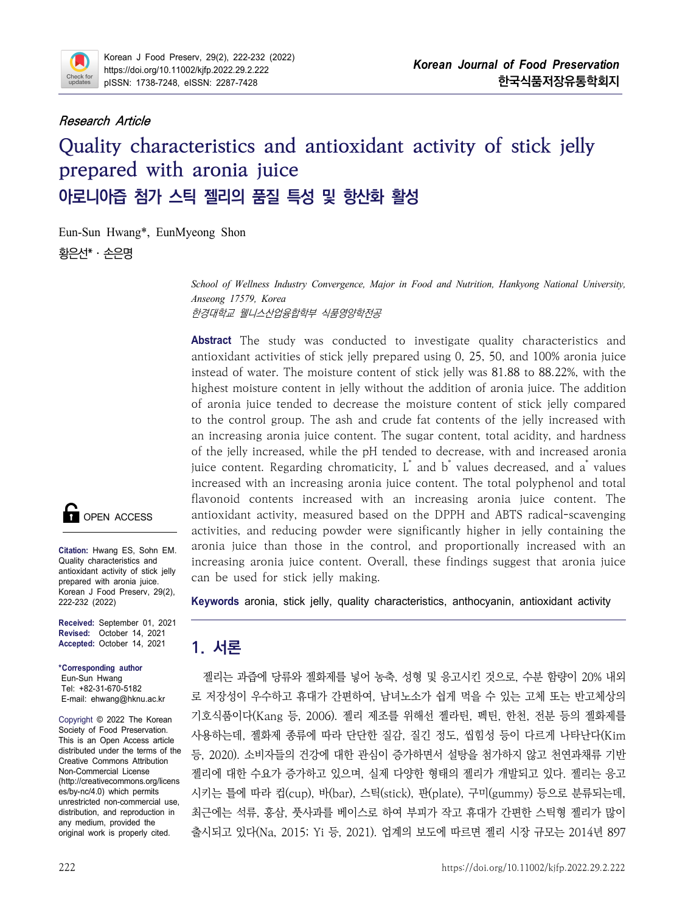

### **Research Article**

# **Quality characteristics and antioxidant activity of stick jelly prepared with aronia juice 아로니아즙 첨가 스틱 젤리의 품질 특성 및 항산화 활성**

Eun-Sun Hwang\*, EunMyeong Shon 황은선\* · 소은명

> *School of Wellness Industry Convergence, Major in Food and Nutrition, Hankyong National University, Anseong 17579, Korea* 한경대학교 웰니스산업융합학부 식품영양학전공

**Abstract** The study was conducted to investigate quality characteristics and antioxidant activities of stick jelly prepared using 0, 25, 50, and 100% aronia juice instead of water. The moisture content of stick jelly was 81.88 to 88.22%, with the highest moisture content in jelly without the addition of aronia juice. The addition of aronia juice tended to decrease the moisture content of stick jelly compared to the control group. The ash and crude fat contents of the jelly increased with an increasing aronia juice content. The sugar content, total acidity, and hardness of the jelly increased, while the pH tended to decrease, with and increased aronia juice content. Regarding chromaticity, L<sup>\*</sup> and b<sup>\*</sup> values decreased, and a<sup>\*</sup> values increased with an increasing aronia juice content. The total polyphenol and total flavonoid contents increased with an increasing aronia juice content. The antioxidant activity, measured based on the DPPH and ABTS radical-scavenging activities, and reducing powder were significantly higher in jelly containing the aronia juice than those in the control, and proportionally increased with an increasing aronia juice content. Overall, these findings suggest that aronia juice can be used for stick jelly making.

**Keywords** aronia, stick jelly, quality characteristics, anthocyanin, antioxidant activity

# **1. 서론**

es/by-nc/4.0) which permits 시키는 틀에 따라 컵(cup), 바(bar), 스틱(stick), 판(plate), 구미(gummy) 등으로 분류되는데,<br>unrestricted non-commercial use. 젤리는 과즙에 당류와 젤화제를 넣어 농축, 성형 및 응고시킨 것으로, 수분 함량이 20% 내외 로 저장성이 우수하고 휴대가 간편하여, 남녀노소가 쉽게 먹을 수 있는 고체 또는 반고체상의 기호식품이다(Kang 등, 2006). 젤리 제조를 위해선 젤라틴, 펙틴, 한천, 전분 등의 젤화제를 사용하는데, 젤화제 종류에 따라 단단한 질감, 질긴 정도, 씹힘성 등이 다르게 나타난다(Kim 등, 2020). 소비자들의 건강에 대한 관심이 증가하면서 설탕을 첨가하지 않고 천연과채류 기반 젤리에 대한 수요가 증가하고 있으며, 실제 다양한 형태의 젤리가 개발되고 있다. 젤리는 응고 최근에는 석류, 홍삼, 풋사과를 베이스로 하여 부피가 작고 휴대가 간편한 스틱형 젤리가 많이 출시되고 있다(Na, 2015; Yi 등, 2021). 업계의 보도에 따르면 젤리 시장 규모는 2014년 897



**Citation:** Hwang ES, Sohn EM. Quality characteristics and antioxidant activity of stick jelly prepared with aronia juice. Korean J Food Preserv, 29(2), 222-232 (2022)

**Received:** September 01, 2021 **Revised:** October 14, 2021 **Accepted:** October 14, 2021

**\*Corresponding author** Eun-Sun Hwang Tel: +82-31-670-5182 E-mail: ehwang@hknu.ac.kr

Copyright © 2022 The Korean Society of Food Preservation. This is an Open Access article distributed under the terms of the Creative Commons Attribution Non-Commercial License (http://creativecommons.org/licens es/by-nc/4.0) which permits distribution, and reproduction in any medium, provided the original work is properly cited.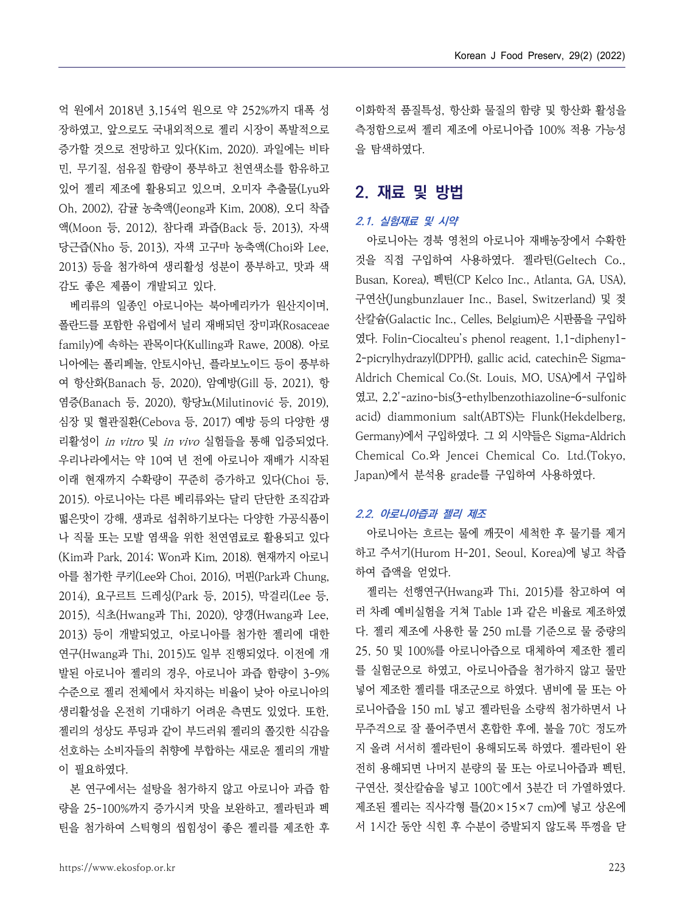억 원에서 2018년 3,154억 원으로 약 252%까지 대폭 성 장하였고, 앞으로도 국내외적으로 젤리 시장이 폭발적으로 증가할 것으로 전망하고 있다(Kim, 2020). 과일에는 비타 민, 무기질, 섬유질 함량이 풍부하고 천연색소를 함유하고 있어 젤리 제조에 활용되고 있으며, 오미자 추출물(Lyu와 Oh, 2002), 감귤 농축액(Jeong과 Kim, 2008), 오디 착즙 액(Moon 등, 2012), 참다래 과즙(Back 등, 2013), 자색 당근즙(Nho 등, 2013), 자색 고구마 농축액(Choi와 Lee, 2013) 등을 첨가하여 생리활성 성분이 풍부하고, 맛과 색 감도 좋은 제품이 개발되고 있다.

- 베리류의 일종인 아로니아는 북아메리카가 원산지이며,<br>폴라드를 포함한 유럽에서 널리 재배되던 장미과(Rosaceae family)에 속하는 관목이다(Kulling과 Rawe, 2008). 아로 니아에는 폴리페놀, 안토시아닌, 플라보노이드 등이 풍부하 여 항산화(Banach 등, 2020), 암예방(Gill 등, 2021), 항 염증(Banach 등, 2020), 항당뇨(Milutinović 등, 2019), 심장 및 혈관질환(Cebova 등, 2017) 예방 등의 다양한 생 리활성이 *in vitro* 및 *in vivo* 실험들을 통해 입증되었다.<br>우리나라에서는 약 10여 년 전에 아로니아 재배가 시작된 이래 현재까지 수확량이 꾸준히 증가하고 있다(Choi 등,<br>2015). 아로니아는 다른 베리류와는 달리 단단한 조직감과 떫은맛이 강해, 생과로 섭취하기보다는 다양한 가공식품이 나 직물 또는 모발 염색을 위한 천연염료로 활용되고 있다 (Kim과 Park, 2014; Won과 Kim, 2018). 현재까지 아로니 아를 첨가한 쿠키(Lee와 Choi, 2016), 머핀(Park과 Chung, 2014), 요구르트 드레싱(Park 등, 2015), 막걸리(Lee 등, 2015), 식초(Hwang과 Thi, 2020), 양갱(Hwang과 Lee, 2013) 등이 개발되었고, 아로니아를 첨가한 젤리에 대한 연구(Hwang과 Thi, 2015)도 일부 진행되었다. 이전에 개 발된 아로니아 젤리의 경우, 아로니아 과즙 함량이 3-9% 수준으로 젤리 전체에서 차지하는 비율이 낮아 아로니아의 생리활성을 온전히 기대하기 어려운 측면도 있었다. 또한,<br>젤리의 성상도 푸딩과 같이 부드러워 젤리의 쫄깃한 식감을 선호하는 소비자들의 취향에 부합하는 새로운 젤리의 개발 이 필요하였다.

량을 25-100%까지 증가시켜 맛을 보완하고, 젤라틴과 펙 틴을 첨가하여 스틱형의 씹힘성이 좋은 젤리를 제조한 후 이화학적 품질특성, 항산화 물질의 함량 및 항산화 활성을 측정함으로써 젤리 제조에 아로니아즙 100% 적용 가능성 을 탐색하였다.

# **2. 재료 및 방법**

#### **2.1. 실험재료 및 시약**

아로니아는 경북 영천의 아로니아 재배농장에서 수확한 것을 직접 구입하여 사용하였다. 젤라틴(Geltech Co., Busan, Korea), 펙틴(CP Kelco Inc., Atlanta, GA, USA), 구연산(Jungbunzlauer Inc., Basel, Switzerland) 및 젖 산칼슘(Galactic Inc., Celles, Belgium)은 시판품을 구입하 였다. Folin-Ciocalteu's phenol reagent, 1,1-dipheny1- 2-picrylhydrazyl(DPPH), gallic acid, catechin은 Sigma-Aldrich Chemical Co.(St. Louis, MO, USA)에서 구입하 였고, 2,2'-azino-bis(3-ethylbenzothiazoline-6-sulfonic acid) diammonium salt(ABTS)는 Flunk(Hekdelberg, Germany)에서 구입하였다. 그 외 시약들은 Sigma-Aldrich Chemical Co.와 Jencei Chemical Co. Ltd.(Tokyo, Japan)에서 분석용 grade를 구입하여 사용하였다.

#### **2.2. 아로니아즙과 젤리 제조**

아로니아는 흐르는 물에 깨끗이 세척한 후 물기를 제거 하고 주서기(Hurom H-201, Seoul, Korea)에 넣고 착즙

본 연구에서는 설탕을 첨가하지 않고 아로니아 과즙 함──구연산, 젖산칼슘을 넣고 100℃에서 3분간 더 가열하였다. 젤리는 선행연구(Hwang과 Thi, 2015)를 참고하여 여 러 차례 예비실험을 거쳐 Table 1과 같은 비율로 제조하였 다. 젤리 제조에 사용한 물 250 mL를 기준으로 물 중량의 25, 50 및 100%를 아로니아즙으로 대체하여 제조한 젤리 를 실험군으로 하였고, 아로니아즙을 첨가하지 않고 물만 넣어 제조한 젤리를 대조군으로 하였다. 냄비에 물 또는 아 로니아즙을 150 mL 넣고 젤라틴을 소량씩 첨가하면서 나 무주걱으로 잘 풀어주면서 혼합한 후에, 불을 70℃ 정도까 지 올려 서서히 젤라틴이 용해되도록 하였다. 젤라틴이 완 전히 용해되면 나머지 분량의 물 또는 아로니아즙과 펙틴,<br>구연산, 젖산칼슘을 넣고 100℃에서 3분간 더 가열하였다.<br>제조된 젤리는 직사각형 틀(20×15×7 cm)에 넣고 상온에 서 1시간 동안 식힌 후 수분이 증발되지 않도록 뚜껑을 닫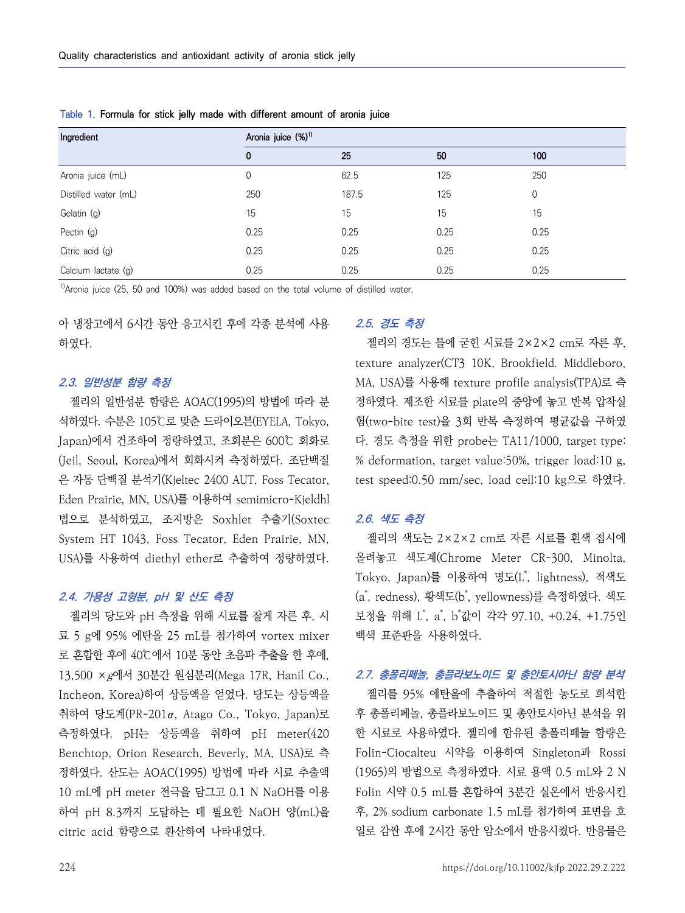| Ingredient           | Aronia juice (%) <sup>1)</sup> |       |      |      |  |  |  |  |  |  |
|----------------------|--------------------------------|-------|------|------|--|--|--|--|--|--|
|                      | $\mathbf 0$                    | 25    | 50   | 100  |  |  |  |  |  |  |
| Aronia juice (mL)    | 0                              | 62.5  | 125  | 250  |  |  |  |  |  |  |
| Distilled water (mL) | 250                            | 187.5 | 125  | 0    |  |  |  |  |  |  |
| Gelatin (g)          | 15                             | 15    | 15   | 15   |  |  |  |  |  |  |
| Pectin (g)           | 0.25                           | 0.25  | 0.25 | 0.25 |  |  |  |  |  |  |
| Citric acid (g)      | 0.25                           | 0.25  | 0.25 | 0.25 |  |  |  |  |  |  |
| Calcium lactate (g)  | 0.25                           | 0.25  | 0.25 | 0.25 |  |  |  |  |  |  |

**Table 1. Formula for stick jelly made with different amount of aronia juice**

 $1)$ Aronia juice (25, 50 and 100%) was added based on the total volume of distilled water.

아 냉장고에서 6시간 동안 응고시킨 후에 각종 분석에 사용 하였다.

#### **2.3. 일반성분 함량 측정**

젤리의 일반성분 함량은 AOAC(1995)의 방법에 따라 분 석하였다. 수분은 105℃로 맞춘 드라이오븐(EYELA, Tokyo, Japan)에서 건조하여 정량하였고, 조회분은 600℃ 회화로 (Jeil, Seoul, Korea)에서 회화시켜 측정하였다. 조단백질 은 자동 단백질 분석기(Kjeltec 2400 AUT, Foss Tecator, Eden Prairie, MN, USA)를 이용하여 semimicro-Kjeldhl 법으로 분석하였고, 조지방은 Soxhlet 추출기(Soxtec System HT 1043, Foss Tecator, Eden Prairie, MN, USA)를 사용하여 diethyl ether로 추출하여 정량하였다.

### **2.4. 가용성 고형분, pH 및 산도 측정**

젤리의 당도와 pH 측정을 위해 시료를 잘게 자른 후, 시 료 5 g에 95% 에탄올 25 mL를 첨가하여 vortex mixer 로 혼합한 후에 40℃에서 10분 동안 초음파 추출을 한 후에,<br>13,500 ×*g*에서 30분간 원심분리(Mega 17R, Hanil Co., Incheon, Korea)하여 상등액을 얻었다. 당도는 상등액을 취하여 당도계(PR-201α, Atago Co., Tokyo, Japan)로 측정하였다. pH는 상등액을 취하여 pH meter(420 Benchtop, Orion Research, Beverly, MA, USA)로 측 정하였다. 산도는 AOAC(1995) 방법에 따라 시료 추출액 10 mL에 pH meter 전극을 담그고 0.1 N NaOH를 이용 하여 pH 8.3까지 도달하는 데 필요한 NaOH 양(mL)을 citric acid 함량으로 환산하여 나타내었다.

### **2.5. 경도 측정**

젤리의 경도는 틀에 굳힌 시료를 2×2×2 cm로 자른 후, texture analyzer(CT3 10K, Brookfield. Middleboro, MA, USA)를 사용해 texture profile analysis(TPA)로 측 정하였다. 제조한 시료를 plate의 중앙에 놓고 반복 압착실 험(two-bite test)을 3회 반복 측정하여 평균값을 구하였 다. 경도 측정을 위한 probe는 TA11/1000, target type: % deformation, target value:50%, trigger load:10 g, test speed:0.50 mm/sec, load cell:10 kg으로 하였다.

#### **2.6. 색도 측정**

젤리의 색도는 2×2×2 cm로 자른 시료를 흰색 접시에 올려놓고 색도계(Chrome Meter CR-300, Minolta, Tokyo, Japan)를 이용하여 명도(L\*, lightness), 적색도 (a\*, redness), 황색도(b\*, yellowness)를 측정하였다. 색도 보정을 위해 L゙, a゙, b゙값이 각각 97.10, +0.24, +1.75인 백색 표준판을 사용하였다.

### **2.7. 총폴리페놀, 총플라보노이드 및 총안토시아닌 함량 분석**

젤리를 95% 에탄올에 추출하여 적절한 농도로 희석한 후 총폴리페놀, 총플라보노이드 및 총안토시아닌 분석을 위 한 시료로 사용하였다. 젤리에 함유된 총폴리페놀 함량은 Folin-Ciocalteu 시약을 이용하여 Singleton과 Rossi (1965)의 방법으로 측정하였다. 시료 용액 0.5 mL와 2 N Folin 시약 0.5 mL를 혼합하여 3분간 실온에서 반응시킨 후, 2% sodium carbonate 1.5 mL를 첨가하여 표면을 호 일로 감싼 후에 2시간 동안 암소에서 반응시켰다. 반응물은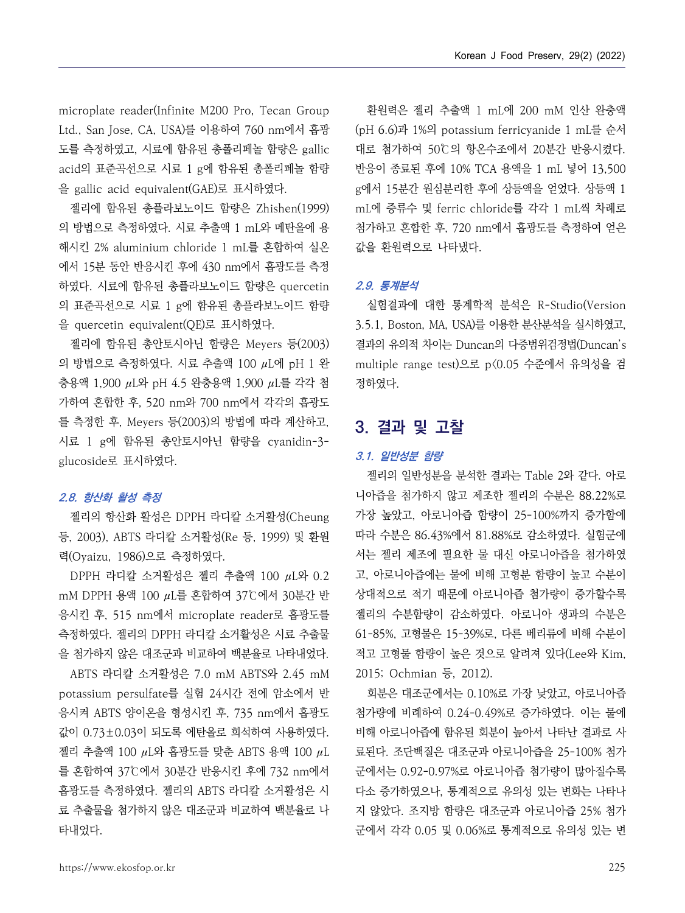microplate reader(Infinite M200 Pro, Tecan Group Ltd., San Jose, CA, USA)를 이용하여 760 nm에서 흡광 도를 측정하였고, 시료에 함유된 총폴리페놀 함량은 gallic acid의 표준곡선으로 시료 1 g에 함유된 총폴리페놀 함량 을 gallic acid equivalent(GAE)로 표시하였다.

젤리에 함유된 총플라보노이드 함량은 Zhishen(1999) 의 방법으로 측정하였다. 시료 추출액 1 mL와 메탄올에 용 해시킨 2% aluminium chloride 1 mL를 혼합하여 실온 에서 15분 동안 반응시킨 후에 430 nm에서 흡광도를 측정 하였다. 시료에 함유된 총플라보노이드 함량은 quercetin 의 표준곡선으로 시료 1 g에 함유된 총플라보노이드 함량 을 quercetin equivalent(QE)로 표시하였다.

젤리에 함유된 총안토시아닌 함량은 Meyers 등(2003) 의 방법으로 측정하였다. 시료 추출액 100 μL에 pH 1 완 충용액 1,900 μL와 pH 4.5 완충용액 1,900 μL를 각각 첨 가하여 혼합한 후, 520 nm와 700 nm에서 각각의 흡광도 를 측정한 후, Meyers 등(2003)의 방법에 따라 계산하고,<br>시료 1 g에 함유된 총안토시아닌 함량을 cyanidin-3glucoside로 표시하였다.

### **2.8. 항산화 활성 측정**

젤리의 항산화 활성은 DPPH 라디칼 소거활성(Cheung 등, 2003), ABTS 라디칼 소거활성(Re 등, 1999) 및 환원 력(Oyaizu, 1986)으로 측정하였다.<br>DPPH 라디칼 소거활성은 젤리 추출액 100 μL와 0.2

mM DPPH 용액 100 μL를 혼합하여 37℃에서 30분간 반 응시킨 후, 515 nm에서 microplate reader로 흡광도를 측정하였다. 젤리의 DPPH 라디칼 소거활성은 시료 추출물 을 첨가하지 않은 대조군과 비교하여 백분율로 나타내었다.

ABTS 라디칼 소거활성은 7.0 mM ABTS와 2.45 mM potassium persulfate를 실험 24시간 전에 암소에서 반 응시켜 ABTS 양이온을 형성시킨 후, 735 nm에서 흡광도 값이 0.73±0.03이 되도록 에탄올로 희석하여 사용하였다.<br>젤리 추출액 100 μL와 흡광도를 맞춘 ABTS 용액 100 μL 를 혼합하여 37℃에서 30분간 반응시킨 후에 732 nm에서 흡광도를 측정하였다. 젤리의 ABTS 라디칼 소거활성은 시 료 추출물을 첨가하지 않은 대조군과 비교하여 백분율로 나 타내었다.

환원력은 젤리 추출액 1 mL에 200 mM 인산 완충액 (pH 6.6)과 1%의 potassium ferricyanide 1 mL를 순서 반응이 종료된 후에 10% TCA 용액을 1 mL 넣어 13,500 g에서 15분간 원심분리한 후에 상등액을 얻었다. 상등액 1 mL에 증류수 및 ferric chloride를 각각 1 mL씩 차례로 첨가하고 혼합한 후, 720 nm에서 흡광도를 측정하여 얻은 값을 환원력으로 나타냈다.

#### **2.9. 통계분석**

실험결과에 대한 통계학적 분석은 R-Studio(Version 3.5.1, Boston, MA, USA)를 이용한 분산분석을 실시하였고, 결과의 유의적 차이는 Duncan의 다중범위검정법(Duncan's multiple range test)으로 p<0.05 수준에서 유의성을 검 정하였다.

## **3. 결과 및 고찰**

#### **3.1. 일반성분 함량**

젤리의 일반성분을 분석한 결과는 Table 2와 같다. 아로 니아즙을 첨가하지 않고 제조한 젤리의 수분은 88.22%로 가장 높았고, 아로니아즙 함량이 25-100%까지 증가함에 따라 수분은 86.43%에서 81.88%로 감소하였다. 실험군에 서는 젤리 제조에 필요한 물 대신 아로니아즙을 첨가하였 고, 아로니아즙에는 물에 비해 고형분 함량이 높고 수분이 상대적으로 적기 때문에 아로니아즙 첨가량이 증가할수록 젤리의 수분함량이 감소하였다. 아로니아 생과의 수분은 61-85%, 고형물은 15-39%로, 다른 베리류에 비해 수분이 적고 고형물 함량이 높은 것으로 알려져 있다(Lee와 Kim, 2015; Ochmian 등, 2012).

회분은 대조군에서는 0.10%로 가장 낮았고, 아로니아즙 첨가량에 비례하여 0.24-0.49%로 증가하였다. 이는 물에 비해 아로니아즙에 함유된 회분이 높아서 나타난 결과로 사 료된다. 조단백질은 대조군과 아로니아즙을 25-100% 첨가 군에서는 0.92-0.97%로 아로니아즙 첨가량이 많아질수록 다소 증가하였으나, 통계적으로 유의성 있는 변화는 나타나 지 않았다. 조지방 함량은 대조군과 아로니아즙 25% 첨가 군에서 각각 0.05 및 0.06%로 통계적으로 유의성 있는 변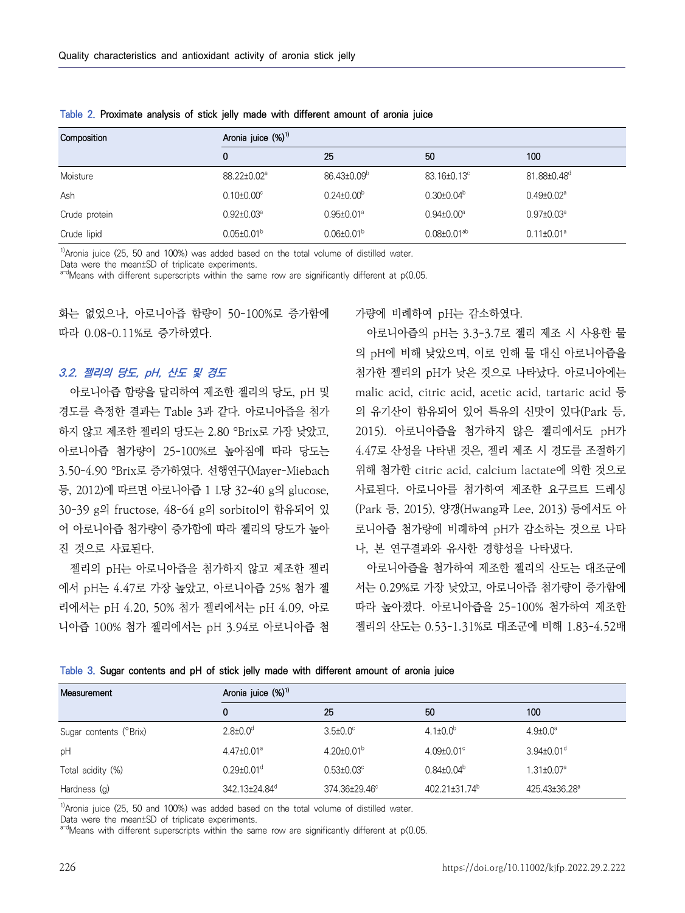| Composition   | Aronia juice (%) <sup>1)</sup> |                         |                               |                              |  |  |  |  |  |  |  |
|---------------|--------------------------------|-------------------------|-------------------------------|------------------------------|--|--|--|--|--|--|--|
|               | $\mathbf{0}$                   | 25                      | 50                            | 100                          |  |  |  |  |  |  |  |
| Moisture      | 88.22±0.02 <sup>a</sup>        | 86.43±0.09 <sup>b</sup> | 83.16±0.13°                   | 81.88±0.48 <sup>d</sup>      |  |  |  |  |  |  |  |
| Ash           | $0.10 \pm 0.00$ <sup>c</sup>   | $0.24 \pm 0.00^{\circ}$ | $0.30 \pm 0.04^{\circ}$       | $0.49 \pm 0.02$ <sup>a</sup> |  |  |  |  |  |  |  |
| Crude protein | $0.92 \pm 0.03^{\circ}$        | $0.95 \pm 0.01^{\circ}$ | $0.94 \pm 0.00^{\circ}$       | $0.97 \pm 0.03^{\circ}$      |  |  |  |  |  |  |  |
| Crude lipid   | $0.05 \pm 0.01^b$              | $0.06 \pm 0.01^{\rm b}$ | $0.08 \pm 0.01$ <sup>ab</sup> | $0.11 \pm 0.01^a$            |  |  |  |  |  |  |  |

**Table 2. Proximate analysis of stick jelly made with different amount of aronia juice**

 $1)$ Aronia juice (25, 50 and 100%) was added based on the total volume of distilled water.

Data were the mean±SD of triplicate experiments.

 $a-d$ Means with different superscripts within the same row are significantly different at p $(0.05.1)$ 

화는 없었으나, 아로니아즙 함량이 50-100%로 증가함에 가량에 비례하여 pH는 감소하였다. 따라 0.08-0.11%로 증가하였다.

#### **3.2. 젤리의 당도, pH, 산도 및 경도**

아로니아즙 함량을 달리하여 제조한 젤리의 당도, pH 및 하지 않고 제조한 젤리의 당도는 2.80 °Brix로 가장 낮았고,<br>아로니아즙 첨가량이 25-100%로 높아짐에 따라 당도는 3.50-4.90 °Brix로 증가하였다. 선행연구(Mayer-Miebach 등, 2012)에 따르면 아로니아즙 1 L당 32-40 g의 glucose, 30-39 g의 fructose, 48-64 g의 sorbitol이 함유되어 있 어 아로니아즙 첨가량이 증가함에 따라 젤리의 당도가 높아 진 것으로 사료된다.

젤리의 pH는 아로니아즙을 첨가하지 않고 제조한 젤리 에서 pH는 4.47로 가장 높았고, 아로니아즙 25% 첨가 젤 리에서는 pH 4.20, 50% 첨가 젤리에서는 pH 4.09, 아로 니아즙 100% 첨가 젤리에서는 pH 3.94로 아로니아즙 첨

경도를 측정한 결과는 Table 3과 같다. 아로니아즙을 첨가 아로니아즙의 pH는 3.3-3.7로 젤리 제조 시 사용한 물 의 pH에 비해 낮았으며, 이로 인해 물 대신 아로니아즙을 첨가한 젤리의 pH가 낮은 것으로 나타났다. 아로니아에는 malic acid, citric acid, acetic acid, tartaric acid 등 2015). 아로니아즙을 첨가하지 않은 젤리에서도 pH가 4.47로 산성을 나타낸 것은, 젤리 제조 시 경도를 조절하기 위해 첨가한 citric acid, calcium lactate에 의한 것으로 사료된다. 아로니아를 첨가하여 제조한 요구르트 드레싱 (Park 등, 2015), 양갱(Hwang과 Lee, 2013) 등에서도 아 로니아즙 첨가량에 비례하여 pH가 감소하는 것으로 나타 나, 본 연구결과와 유사한 경향성을 나타냈다.

> 아로니아즙을 첨가하여 제조한 젤리의 산도는 대조군에 서는 0.29%로 가장 낮았고, 아로니아즙 첨가량이 증가함에 따라 높아졌다. 아로니아즙을 25-100% 첨가하여 제조한 젤리의 산도는 0.53-1.31%로 대조군에 비해 1.83-4.52배

| Measurement            | Aronia juice (%) <sup>1)</sup> |                         |                         |                              |  |  |  |  |  |  |  |
|------------------------|--------------------------------|-------------------------|-------------------------|------------------------------|--|--|--|--|--|--|--|
|                        | 0                              | 25                      | 50                      | 100                          |  |  |  |  |  |  |  |
| Sugar contents (°Brix) | $2.8 \pm 0.0$ <sup>d</sup>     | $3.5 \pm 0.0^{\circ}$   | $4.1 \pm 0.0^{\circ}$   | $4.9 \pm 0.0^{\circ}$        |  |  |  |  |  |  |  |
| pH                     | $4.47 \pm 0.01$ <sup>a</sup>   | $4.20\pm0.01^{b}$       | $4.09 \pm 0.01$ °       | $3.94 \pm 0.01$ <sup>d</sup> |  |  |  |  |  |  |  |
| Total acidity (%)      | $0.29 \pm 0.01$ <sup>d</sup>   | $0.53{\pm}0.03^{\circ}$ | $0.84{\pm}0.04^{\circ}$ | $1.31 \pm 0.07$ <sup>a</sup> |  |  |  |  |  |  |  |
| Hardness (g)           | 342.13±24.84 <sup>d</sup>      | 374.36±29.46°           | $402.21 \pm 31.74^b$    | 425.43±36.28 <sup>a</sup>    |  |  |  |  |  |  |  |

**Table 3. Sugar contents and pH of stick jelly made with different amount of aronia juice**

 $<sup>1</sup>$ Aronia juice (25, 50 and 100%) was added based on the total volume of distilled water.</sup>

Data were the mean±SD of triplicate experiments.

 $a-d$ Means with different superscripts within the same row are significantly different at p $(0.05.1)$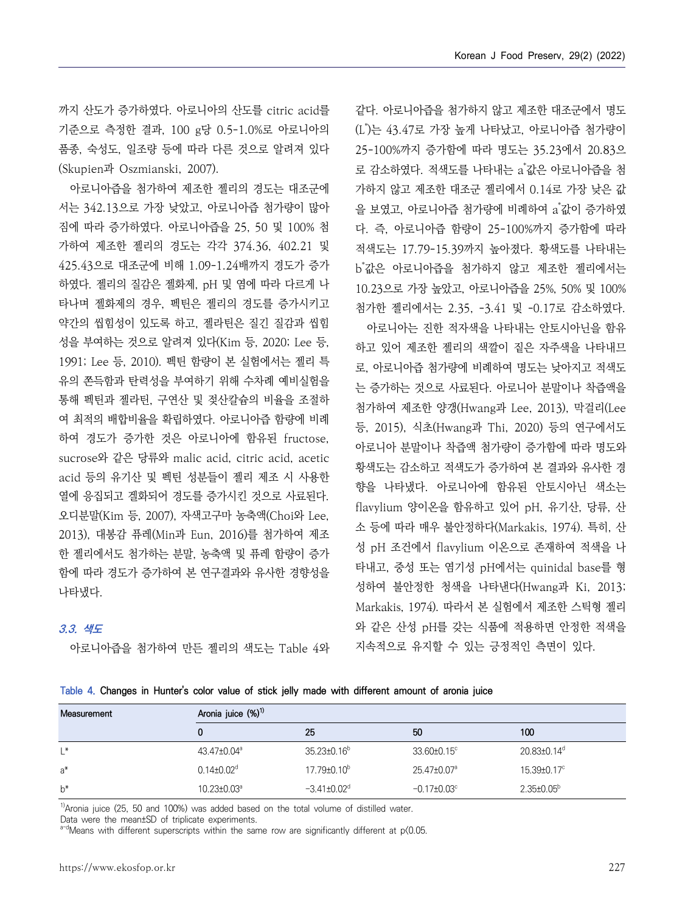까지 산도가 증가하였다. 아로니아의 산도를 citric acid를 기준으로 측정한 결과, 100 g당 0.5-1.0%로 아로니아의 품종, 숙성도, 일조량 등에 따라 다른 것으로 알려져 있다 (Skupien과 Oszmianski, 2007).

아로니아즙을 첨가하여 제조한 젤리의 경도는 대조군에 서는 342.13으로 가장 낮았고, 아로니아즙 첨가량이 많아 짐에 따라 증가하였다. 아로니아즙을 25, 50 및 100% 첨 가하여 제조한 젤리의 경도는 각각 374.36, 402.21 및 425.43으로 대조군에 비해 1.09-1.24배까지 경도가 증가 하였다. 젤리의 질감은 젤화제, pH 및 염에 따라 다르게 나 타나며 젤화제의 경우, 펙틴은 젤리의 경도를 증가시키고 衬기한 젤리에서는 2.35, -3.41 및 -0.17로 감소하였다. 약간의 씹힘성이 있도록 하고, 젤라틴은 질긴 질감과 씹힘 성을 부여하는 것으로 알려져 있다(Kim 등, 2020; Lee 등,<br>1991; Lee 등, 2010). 펙틴 함량이 본 실험에서는 젤리 특 유의 쫀득함과 탄력성을 부여하기 위해 수차례 예비실험을 통해 펙틴과 젤라틴, 구연산 및 젖산칼슘의 비율을 조절하 여 최적의 배합비율을 확립하였다. 아로니아즙 함량에 비례 하여 경도가 증가한 것은 아로니아에 함유된 fructose, sucrose와 같은 당류와 malic acid, citric acid, acetic acid 등의 유기산 및 펙틴 성분들이 젤리 제조 시 사용한 열에 응집되고 겔화되어 경도를 증가시킨 것으로 사료된다.<br>오디분말(Kim 등, 2007), 자색고구마 농축액(Choi와 Lee, 2013), 대봉감 퓨레(Min과 Eun, 2016)를 첨가하여 제조 한 젤리에서도 첨가하는 분말, 농축액 및 퓨레 함량이 증가 함에 따라 경도가 증가하여 본 연구결과와 유사한 경향성을 나타냈다.

#### **3.3. 색도**

아로니아즙을 첨가하여 만든 젤리의 색도는 Table 4와

같다. 아로니아즙을 첨가하지 않고 제조한 대조군에서 명도 (L\*)는 43.47로 가장 높게 나타났고, 아로니아즙 첨가량이 25-100%까지 증가함에 따라 명도는 35.23에서 20.83으 로 감소하였다. 적색도를 나타내는 a<sup>\*</sup>값은 아로니아<del>즙을</del> 첨 가하지 않고 제조한 대조군 젤리에서 0.14로 가장 낮은 값 을 보였고, 아로니아즙 첨가량에 비례하여 a<sup>\*</sup>값이 증가하였 다. 즉, 아로니아즙 함량이 25-100%까지 증가함에 따라 적색도는 17.79-15.39까지 높아졌다. 황색도를 나타내는 b \*값은 아로니아즙을 첨가하지 않고 제조한 젤리에서는 10.23으로 가장 높았고, 아로니아즙을 25%, 50% 및 100%

아로니아는 진한 적자색을 나타내는 안토시아닌을 함유 하고 있어 제조한 젤리의 색깔이 짙은 자주색을 나타내므 로, 아로니아즙 첨가량에 비례하여 명도는 낮아지고 적색도 는 증가하는 것으로 사료된다. 아로니아 분말이나 착즙액을 첨가하여 제조한 양갱(Hwang과 Lee, 2013), 막걸리(Lee 등, 2015), 식초(Hwang과 Thi, 2020) 등의 연구에서도 아로니아 분말이나 착즙액 첨가량이 증가함에 따라 명도와 황색도는 감소하고 적색도가 증가하여 본 결과와 유사한 경 flavylium 양이온을 함유하고 있어 pH, 유기산, 당류, 산 소 등에 따라 매우 불안정하다(Markakis, 1974). 특히, 산 성 pH 조건에서 flavylium 이온으로 존재하여 적색을 나 타내고, 중성 또는 염기성 pH에서는 quinidal base를 형 성하여 불안정한 청색을 나타낸다(Hwang과 Ki, 2013; Markakis, 1974). 따라서 본 실험에서 제조한 스틱형 젤리 와 같은 산성 pH를 갖는 식품에 적용하면 안정한 적색을 지속적으로 유지할 수 있는 긍정적인 측면이 있다.

| Table 4. Changes in Hunter's color value of stick jelly made with different amount of aronia juice |  |  |  |  |  |  |  |
|----------------------------------------------------------------------------------------------------|--|--|--|--|--|--|--|
|                                                                                                    |  |  |  |  |  |  |  |

| Measurement | Aronia juice (%) <sup>1)</sup> |                             |                               |                         |  |  |  |  |  |  |  |
|-------------|--------------------------------|-----------------------------|-------------------------------|-------------------------|--|--|--|--|--|--|--|
|             | 0                              | 25                          | 50                            | 100                     |  |  |  |  |  |  |  |
| L*          | $43.47 \pm 0.04^{\circ}$       | $35.23 \pm 0.16^b$          | $33.60 \pm 0.15$ <sup>c</sup> | 20.83±0.14 <sup>d</sup> |  |  |  |  |  |  |  |
| $a^*$       | $0.14 \pm 0.02$ <sup>d</sup>   | $17.79 \pm 0.10^b$          | 25.47±0.07 <sup>a</sup>       | 15.39±0.17°             |  |  |  |  |  |  |  |
| $b^*$       | $10.23 \pm 0.03$ <sup>a</sup>  | $-3.41\pm0.02$ <sup>d</sup> | $-0.17\pm0.03^{\circ}$        | $2.35 \pm 0.05^b$       |  |  |  |  |  |  |  |

 $<sup>1</sup>$ Aronia juice (25, 50 and 100%) was added based on the total volume of distilled water.</sup>

Data were the mean±SD of triplicate experiments.

 $a-d$ Means with different superscripts within the same row are significantly different at  $p(0.05$ .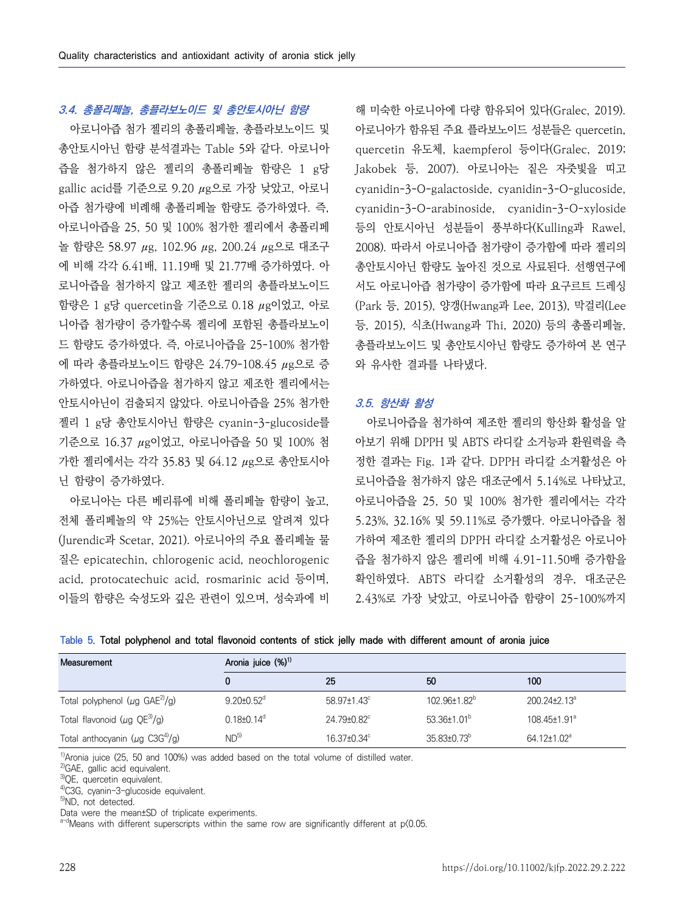### **3.4. 총폴리페놀, 총플라보노이드 및 총안토시아닌 함량**

아로니아즙 첨가 젤리의 총폴리페놀, 총플라보노이드 및 총안토시아닌 함량 분석결과는 Table 5와 같다. 아로니아 즙을 첨가하지 않은 젤리의 총폴리페놀 함량은 1 g당 gallic acid를 기준으로 9.20 μg으로 가장 낮았고, 아로니 아즙 첨가량에 비례해 총폴리페놀 함량도 증가하였다. 즉,<br>아로니아즙을 25, 50 및 100% 첨가한 젤리에서 총폴리페 놀 함량은 58.97 μg, 102.96 μg, 200.24 μg으로 대조구 에 비해 각각 6.41배, 11.19배 및 21.77배 증가하였다. 아 로니아즙을 첨가하지 않고 제조한 젤리의 총플라보노이드 함량은 1 g당 quercetin을 기준으로 0.18 μg이었고, 아로 니아즙 첨가량이 증가할수록 젤리에 포함된 총플라보노이 등, 2015), 식초(Hwang과 Thi, 2020) 등의 총폴리페놀, 드 함량도 증가하였다. 즉, 아로니아즙을 25-100% 첨가함 에 따라 총플라보노이드 함량은 24.79-108.45 μg으로 증 가하였다. 아로니아즙을 첨가하지 않고 제조한 젤리에서는 안토시아닌이 검출되지 않았다. 아로니아즙을 25% 첨가한 젤리 1 g당 총안토시아닌 함량은 cyanin-3-glucoside를 기준으로 16.37 μg이었고, 아로니아즙을 50 및 100% 첨 가한 젤리에서는 각각 35.83 및 64.12 μg으로 총안토시아 닌 함량이 증가하였다.

아로니아는 다른 베리류에 비해 폴리페놀 함량이 높고,<br>전체 폴리페놀의 약 25%는 안토시아닌으로 알려져 있다 (Jurendic과 Scetar, 2021). 아로니아의 주요 폴리페놀 물 질은 epicatechin, chlorogenic acid, neochlorogenic acid, protocatechuic acid, rosmarinic acid 등이며, 이들의 함량은 숙성도와 깊은 관련이 있으며, 성숙과에 비

해 미숙한 아로니아에 다량 함유되어 있다(Gralec, 2019). 아로니아가 함유된 주요 플라보노이드 성분들은 quercetin, quercetin 유도체, kaempferol 등이다(Gralec, 2019; Jakobek 등, 2007). 아로니아는 짙은 자줏빛을 띠고 cyanidin-3-O-galactoside, cyanidin-3-O-glucoside, cyanidin-3-O-arabinoside, cyanidin-3-O-xyloside 등의 안토시아닌 성분들이 풍부하다(Kulling과 Rawel, 2008). 따라서 아로니아즙 첨가량이 증가함에 따라 젤리의 총안토시아닌 함량도 높아진 것으로 사료된다. 선행연구에 서도 아로니아즙 첨가량이 증가함에 따라 요구르트 드레싱 (Park 등, 2015), 양갱(Hwang과 Lee, 2013), 막걸리(Lee 총플라보노이드 및 총안토시아닌 함량도 증가하여 본 연구 와 유사한 결과를 나타냈다.

#### **3.5. 항산화 활성**

아로니아즙을 첨가하여 제조한 젤리의 항산화 활성을 알 아보기 위해 DPPH 및 ABTS 라디칼 소거능과 환원력을 측 정한 결과는 Fig. 1과 같다. DPPH 라디칼 소거활성은 아 로니아즙을 첨가하지 않은 대조군에서 5.14%로 나타났고,<br>아로니아즙을 25, 50 및 100% 첨가한 젤리에서는 각각 5.23%, 32.16% 및 59.11%로 증가했다. 아로니아즙을 첨 가하여 제조한 젤리의 DPPH 라디칼 소거활성은 아로니아 즙을 첨가하지 않은 젤리에 비해 4.91-11.50배 증가함을 확인하였다. ABTS 라디칼 소거활성의 경우, 대조군은 2.43%로 가장 낮았고, 아로니아즙 함량이 25-100%까지

|  |  |  |  |  | Table 5. Total polyphenol and total flavonoid contents of stick jelly made with different amount of aronia juice |  |  |  |  |  |  |  |  |  |
|--|--|--|--|--|------------------------------------------------------------------------------------------------------------------|--|--|--|--|--|--|--|--|--|
|--|--|--|--|--|------------------------------------------------------------------------------------------------------------------|--|--|--|--|--|--|--|--|--|

| Measurement                                       | Aronia juice $(\%)^1$        |                               |                          |                                |  |  |  |  |  |  |
|---------------------------------------------------|------------------------------|-------------------------------|--------------------------|--------------------------------|--|--|--|--|--|--|
|                                                   | 0                            | 25                            | 50                       | 100                            |  |  |  |  |  |  |
| Total polyphenol ( $\mu$ g GAE <sup>2)</sup> /g)  | $9.20 \pm 0.52$ <sup>d</sup> | $58.97 \pm 1.43$ <sup>c</sup> | 102.96±1.82 <sup>b</sup> | $200.24 \pm 2.13$ <sup>a</sup> |  |  |  |  |  |  |
| Total flavonoid ( $\mu$ g QE <sup>3)</sup> /g)    | $0.18 \pm 0.14$ <sup>d</sup> | 24.79±0.82°                   | 53 36+1 $01b$            | 108.45±1.91 <sup>a</sup>       |  |  |  |  |  |  |
| Total anthocyanin ( $\mu$ g C3G <sup>4)</sup> /g) | ND <sup>5</sup>              | $16.37 \pm 0.34$ °            | $35.83\pm0.73^b$         | $64.12 \pm 1.02$ <sup>a</sup>  |  |  |  |  |  |  |

 $1)$ Aronia juice (25, 50 and 100%) was added based on the total volume of distilled water.

<sup>2)</sup>GAE, gallic acid equivalent.

3)QE, quercetin equivalent.

4)C3G, cyanin-3-glucoside equivalent.

Data were the mean±SD of triplicate experiments.

 $a-d$ Means with different superscripts within the same row are significantly different at  $p(0.05.1)$ 

<sup>5)</sup>ND, not detected.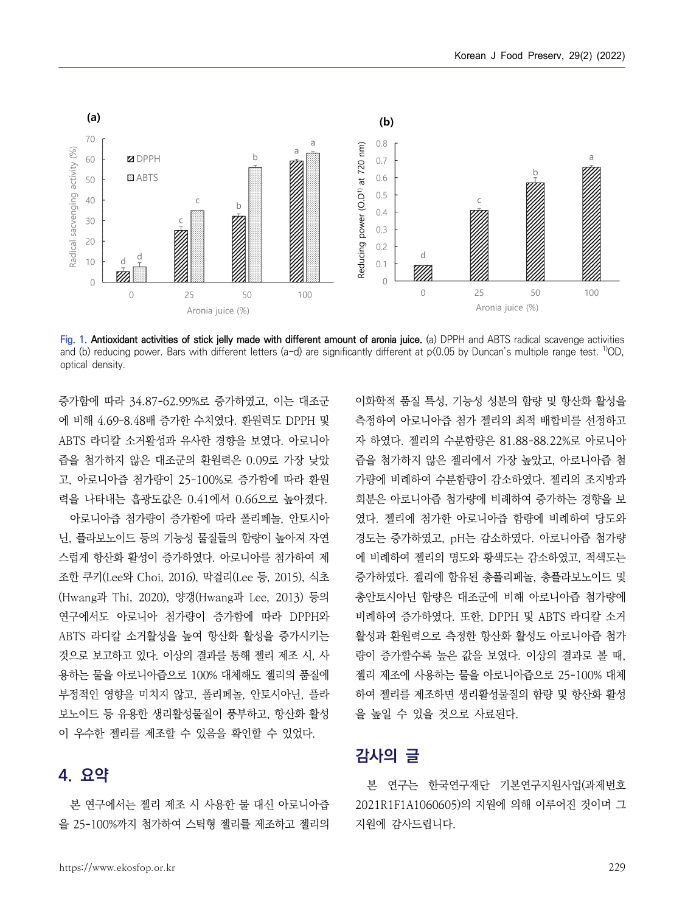

**Fig. 1. Antioxidant activities of stick jelly made with different amount of aronia juice.** (a) DPPH and ABTS radical scavenge activities and (b) reducing power. Bars with different letters (a-d) are significantly different at  $p(0.05$  by Duncan's multiple range test. <sup>1</sup>/OD, optical density.

증가함에 따라 34.87-62.99%로 증가하였고, 이는 대조군 에 비해 4.69-8.48배 증가한 수치였다. 환원력도 DPPH 및 ABTS 라디칼 소거활성과 유사한 경향을 보였다. 아로니아 즙을 첨가하지 않은 대조군의 환원력은 0.09로 가장 낮았 고, 아로니아즙 첨가량이 25-100%로 증가함에 따라 환원 력을 나타내는 흡광도값은 0.41에서 0.66으로 높아졌다.

아로니아즙 첨가량이 증가함에 따라 폴리페놀, 안토시아 닌, 플라보노이드 등의 기능성 물질들의 함량이 높아져 자연 스럽게 항산화 활성이 증가하였다. 아로니아를 첨가하여 제 조한 쿠키(Lee와 Choi, 2016), 막걸리(Lee 등, 2015), 식초 (Hwang과 Thi, 2020), 양갱(Hwang과 Lee, 2013) 등의 연구에서도 아로니아 첨가량이 증가함에 따라 DPPH와 ABTS 라디칼 소거활성을 높여 항산화 활성을 증가시키는 용하는 물을 아로니아즙으로 100% 대체해도 젤리의 품질에 부정적인 영향을 미치지 않고, 폴리페놀, 안토시아닌, 플라 보노이드 등 유용한 생리활성물질이 풍부하고, 항산화 활성 이 우수한 젤리를 제조할 수 있음을 확인할 수 있었다.

# **4. 요약**

본 연구에서는 젤리 제조 시 사용한 물 대신 아로니아즙 을 25-100%까지 첨가하여 스틱형 젤리를 제조하고 젤리의

것으로 보고하고 있다. 이상의 결과를 통해 젤리 제조 시, 사 - 량이 증가할수록 높은 값을 보였다. 이상의 결과로 볼 때, 이화학적 품질 특성, 기능성 성분의 함량 및 항산화 활성을 측정하여 아로니아즙 첨가 젤리의 최적 배합비를 선정하고 자 하였다. 젤리의 수분함량은 81.88-88.22%로 아로니아 즙을 첨가하지 않은 젤리에서 가장 높았고, 아로니아즙 첨 가량에 비례하여 수분함량이 감소하였다. 젤리의 조지방과 회분은 아로니아즙 첨가량에 비례하여 증가하는 경향을 보 였다. 젤리에 첨가한 아로니아즙 함량에 비례하여 당도와 경도는 증가하였고, pH는 감소하였다. 아로니아즙 첨가량 에 비례하여 젤리의 명도와 황색도는 감소하였고, 적색도는 증가하였다. 젤리에 함유된 총폴리페놀, 총플라보노이드 및 총안토시아닌 함량은 대조군에 비해 아로니아즙 첨가량에 비례하여 증가하였다. 또한, DPPH 및 ABTS 라디칼 소거 활성과 환원력으로 측정한 항산화 활성도 아로니아즙 첨가 젤리 제조에 사용하는 물을 아로니아즙으로 25-100% 대체 하여 젤리를 제조하면 생리활성물질의 함량 및 항산화 활성 을 높일 수 있을 것으로 사료된다.

# **감사의 글**

본 연구는 한국연구재단 기본연구지원사업(과제번호 2021R1F1A1060605)의 지원에 의해 이루어진 것이며 그 지원에 감사드립니다.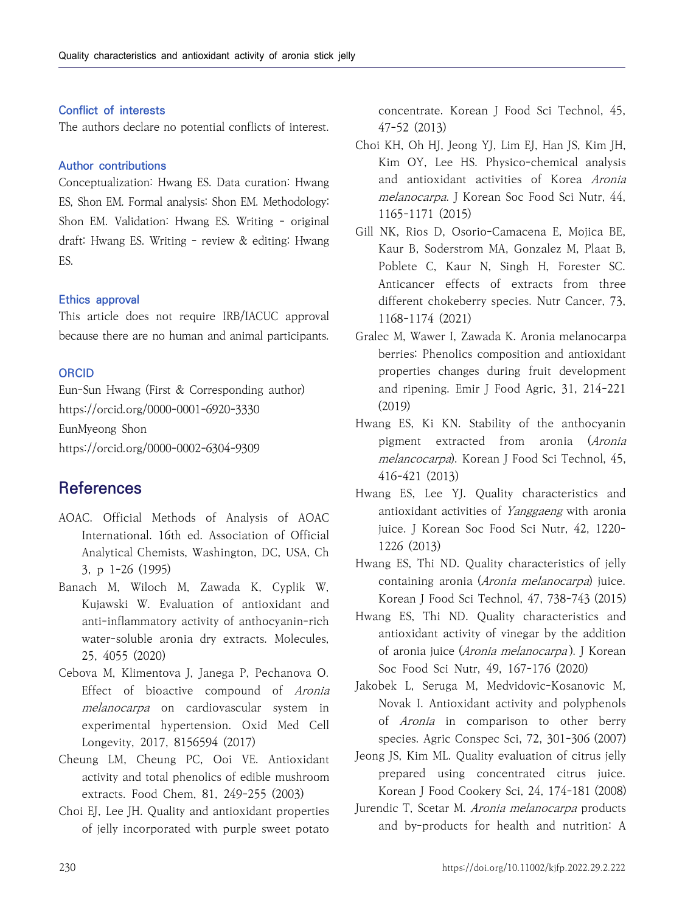### **Conflict of interests**

The authors declare no potential conflicts of interest.

#### **Author contributions**

Conceptualization: Hwang ES. Data curation: Hwang ES, Shon EM. Formal analysis: Shon EM. Methodology: Shon EM. Validation: Hwang ES. Writing - original draft: Hwang ES. Writing - review & editing: Hwang ES.

#### **Ethics approval**

This article does not require IRB/IACUC approval because there are no human and animal participants.

#### **ORCID**

Eun-Sun Hwang (First & Corresponding author) https://orcid.org/0000-0001-6920-3330 EunMyeong Shon https://orcid.org/0000-0002-6304-9309

# **References**

- AOAC. Official Methods of Analysis of AOAC International. 16th ed. Association of Official Analytical Chemists, Washington, DC, USA, Ch 3, p 1-26 (1995)
- Banach M, Wiloch M, Zawada K, Cyplik W, Kujawski W. Evaluation of antioxidant and anti-inflammatory activity of anthocyanin-rich water-soluble aronia dry extracts. Molecules, 25, 4055 (2020)
- Cebova M, Klimentova J, Janega P, Pechanova O. Effect of bioactive compound of Aronia melanocarpa on cardiovascular system in experimental hypertension. Oxid Med Cell Longevity, 2017, 8156594 (2017)
- Cheung LM, Cheung PC, Ooi VE. Antioxidant activity and total phenolics of edible mushroom extracts. Food Chem, 81, 249-255 (2003)
- Choi EJ, Lee JH. Quality and antioxidant properties of jelly incorporated with purple sweet potato

concentrate. Korean J Food Sci Technol, 45, 47-52 (2013)

- Choi KH, Oh HJ, Jeong YJ, Lim EJ, Han JS, Kim JH, Kim OY, Lee HS. Physico-chemical analysis and antioxidant activities of Korea Aronia melanocarpa. J Korean Soc Food Sci Nutr, 44, 1165-1171 (2015)
- Gill NK, Rios D, Osorio-Camacena E, Mojica BE, Kaur B, Soderstrom MA, Gonzalez M, Plaat B, Poblete C, Kaur N, Singh H, Forester SC. Anticancer effects of extracts from three different chokeberry species. Nutr Cancer, 73, 1168-1174 (2021)
- Gralec M, Wawer I, Zawada K. Aronia melanocarpa berries: Phenolics composition and antioxidant properties changes during fruit development and ripening. Emir J Food Agric, 31, 214-221 (2019)
- Hwang ES, Ki KN. Stability of the anthocyanin pigment extracted from aronia (Aronia melancocarpa). Korean J Food Sci Technol, 45, 416-421 (2013)
- Hwang ES, Lee YJ. Quality characteristics and antioxidant activities of Yanggaeng with aronia juice. J Korean Soc Food Sci Nutr, 42, 1220- 1226 (2013)
- Hwang ES, Thi ND. Quality characteristics of jelly containing aronia (Aronia melanocarpa) juice. Korean J Food Sci Technol, 47, 738-743 (2015)
- Hwang ES, Thi ND. Quality characteristics and antioxidant activity of vinegar by the addition of aronia juice (*Aronia melanocarpa*). J Korean Soc Food Sci Nutr, 49, 167-176 (2020)
- Jakobek L, Seruga M, Medvidovic-Kosanovic M, Novak I. Antioxidant activity and polyphenols of *Aronia* in comparison to other berry species. Agric Conspec Sci, 72, 301-306 (2007)
- Jeong JS, Kim ML. Quality evaluation of citrus jelly prepared using concentrated citrus juice. Korean J Food Cookery Sci, 24, 174-181 (2008)
- Jurendic T, Scetar M. Aronia melanocarpa products and by-products for health and nutrition: A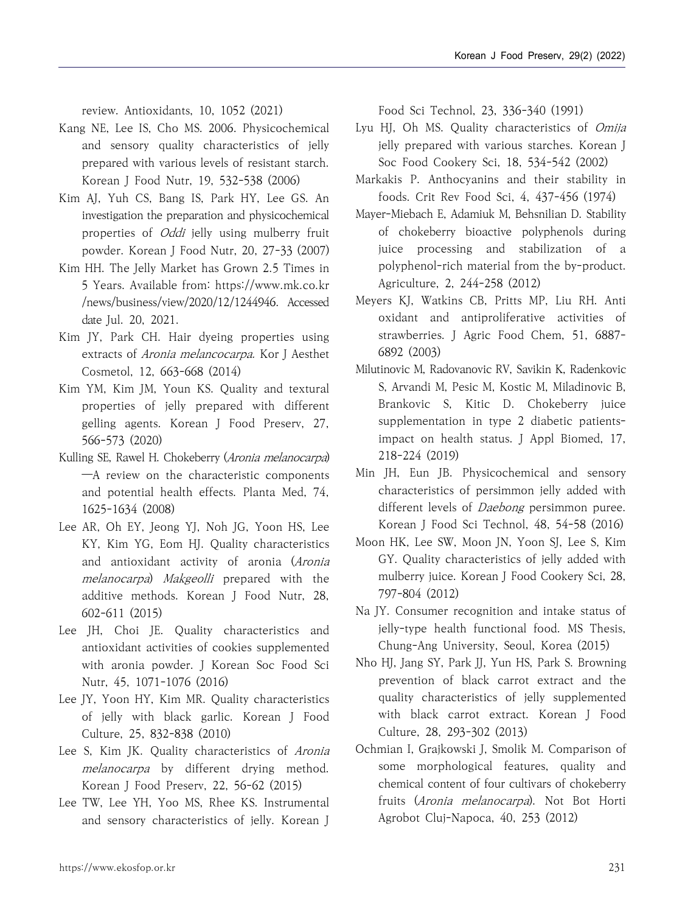review. Antioxidants, 10, 1052 (2021)

- Kang NE, Lee IS, Cho MS. 2006. Physicochemical and sensory quality characteristics of jelly prepared with various levels of resistant starch. Korean J Food Nutr, 19, 532-538 (2006)
- Kim AJ, Yuh CS, Bang IS, Park HY, Lee GS. An investigation the preparation and physicochemical properties of *Oddi* jelly using mulberry fruit powder. Korean J Food Nutr, 20, 27-33 (2007)
- Kim HH. The Jelly Market has Grown 2.5 Times in 5 Years. Available from: https://www.mk.co.kr /news/business/view/2020/12/1244946. Accessed date Jul. 20, 2021.
- Kim JY, Park CH. Hair dyeing properties using extracts of Aronia melancocarpa. Kor J Aesthet Cosmetol, 12, 663-668 (2014)
- Kim YM, Kim JM, Youn KS. Quality and textural properties of jelly prepared with different gelling agents. Korean J Food Preserv, 27, 566-573 (2020)
- Kulling SE, Rawel H. Chokeberry (Aronia melanocarpa) —A review on the characteristic components and potential health effects. Planta Med, 74, 1625-1634 (2008)
- Lee AR, Oh EY, Jeong YJ, Noh JG, Yoon HS, Lee KY, Kim YG, Eom HJ. Quality characteristics and antioxidant activity of aronia (Aronia melanocarpa) Makgeolli prepared with the additive methods. Korean J Food Nutr, 28, 602-611 (2015)
- Lee JH, Choi JE. Quality characteristics and antioxidant activities of cookies supplemented with aronia powder. J Korean Soc Food Sci Nutr, 45, 1071-1076 (2016)
- Lee JY, Yoon HY, Kim MR. Quality characteristics of jelly with black garlic. Korean J Food Culture, 25, 832-838 (2010)
- Lee S, Kim JK. Quality characteristics of Aronia melanocarpa by different drying method. Korean J Food Preserv, 22, 56-62 (2015)
- Lee TW, Lee YH, Yoo MS, Rhee KS. Instrumental and sensory characteristics of jelly. Korean J

Food Sci Technol, 23, 336-340 (1991)

- Lyu HJ, Oh MS. Quality characteristics of Omija jelly prepared with various starches. Korean J Soc Food Cookery Sci, 18, 534-542 (2002)
- Markakis P. Anthocyanins and their stability in foods. Crit Rev Food Sci, 4, 437-456 (1974)
- Mayer-Miebach E, Adamiuk M, Behsnilian D. Stability of chokeberry bioactive polyphenols during juice processing and stabilization of a polyphenol-rich material from the by-product. Agriculture, 2, 244-258 (2012)
- Meyers KJ, Watkins CB, Pritts MP, Liu RH. Anti oxidant and antiproliferative activities of strawberries. J Agric Food Chem, 51, 6887- 6892 (2003)
- Milutinovic M, Radovanovic RV, Savikin K, Radenkovic S, Arvandi M, Pesic M, Kostic M, Miladinovic B, Brankovic S, Kitic D. Chokeberry juice supplementation in type 2 diabetic patientsimpact on health status. J Appl Biomed, 17, 218-224 (2019)
- Min JH, Eun JB. Physicochemical and sensory characteristics of persimmon jelly added with different levels of *Daebong* persimmon puree. Korean J Food Sci Technol, 48, 54-58 (2016)
- Moon HK, Lee SW, Moon JN, Yoon SJ, Lee S, Kim GY. Quality characteristics of jelly added with mulberry juice. Korean J Food Cookery Sci, 28, 797-804 (2012)
- Na JY. Consumer recognition and intake status of jelly-type health functional food. MS Thesis, Chung-Ang University, Seoul, Korea (2015)
- Nho HJ, Jang SY, Park JJ, Yun HS, Park S. Browning prevention of black carrot extract and the quality characteristics of jelly supplemented with black carrot extract. Korean J Food Culture, 28, 293-302 (2013)
- Ochmian I, Grajkowski J, Smolik M. Comparison of some morphological features, quality and chemical content of four cultivars of chokeberry fruits (Aronia melanocarpa). Not Bot Horti Agrobot Cluj-Napoca, 40, 253 (2012)